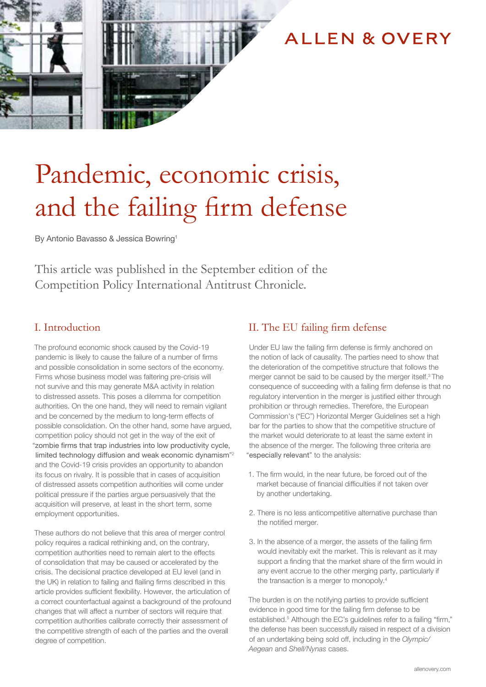

# Pandemic, economic crisis, and the failing firm defense

By Antonio Bavasso & Jessica Bowrin[g1](#page-4-0)

This article was published in the September edition of the Competition Policy International Antitrust Chronicle.

#### I. Introduction

The profound economic shock caused by the Covid-19 pandemic is likely to cause the failure of a number of firms and possible consolidation in some sectors of the economy. Firms whose business model was faltering pre-crisis will not survive and this may generate M&A activity in relation to distressed assets. This poses a dilemma for competition authorities. On the one hand, they will need to remain vigilant and be concerned by the medium to long-term effects of possible consolidation. On the other hand, some have argued, competition policy should not get in the way of the exit of "zombie firms that trap industries into low productivity cycle, limited technology diffusion and weak economic dynamism["2](#page-4-0) and the Covid-19 crisis provides an opportunity to abandon its focus on rivalry. It is possible that in cases of acquisition of distressed assets competition authorities will come under political pressure if the parties argue persuasively that the acquisition will preserve, at least in the short term, some employment opportunities.

These authors do not believe that this area of merger control policy requires a radical rethinking and, on the contrary, competition authorities need to remain alert to the effects of consolidation that may be caused or accelerated by the crisis. The decisional practice developed at EU level (and in the UK) in relation to failing and flailing firms described in this article provides sufficient flexibility. However, the articulation of a correct counterfactual against a background of the profound changes that will affect a number of sectors will require that competition authorities calibrate correctly their assessment of the competitive strength of each of the parties and the overall degree of competition.

### II. The EU failing firm defense

Under EU law the failing firm defense is firmly anchored on the notion of lack of causality. The parties need to show that the deterioration of the competitive structure that follows the merger cannot be said to be caused by the merger itself.[3](#page-4-0) The consequence of succeeding with a failing firm defense is that no regulatory intervention in the merger is justified either through prohibition or through remedies. Therefore, the European Commission's ("EC") Horizontal Merger Guidelines set a high bar for the parties to show that the competitive structure of the market would deteriorate to at least the same extent in the absence of the merger. The following three criteria are "especially relevant" to the analysis:

- 1. The firm would, in the near future, be forced out of the market because of financial difficulties if not taken over by another undertaking.
- 2. There is no less anticompetitive alternative purchase than the notified merger.
- 3. In the absence of a merger, the assets of the failing firm would inevitably exit the market. This is relevant as it may support a finding that the market share of the firm would in any event accrue to the other merging party, particularly if the transaction is a merger to monopoly.[4](#page-4-0)

The burden is on the notifying parties to provide sufficient evidence in good time for the failing firm defense to be established.<sup>[5](#page-4-0)</sup> Although the EC's guidelines refer to a failing "firm," the defense has been successfully raised in respect of a division of an undertaking being sold off, including in the *Olympic/ Aegean* and *Shell/Nynas* cases.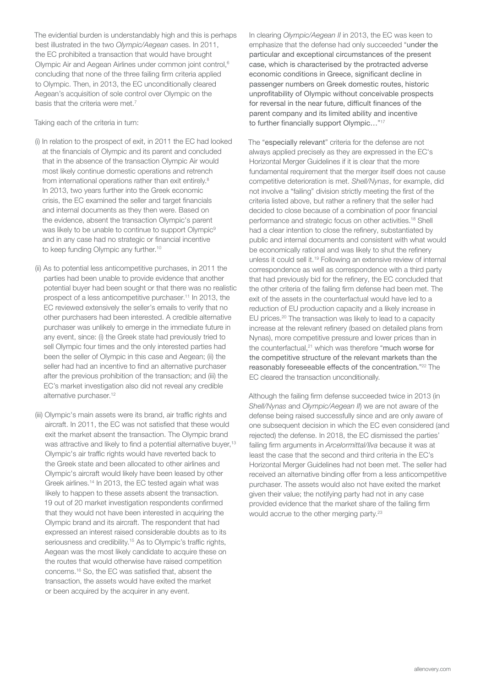The evidential burden is understandably high and this is perhaps best illustrated in the two *Olympic/Aegean* cases. In 2011, the EC prohibited a transaction that would have brought Olympic Air and Aegean Airlines under common joint control,[6](#page-4-0) concluding that none of the three failing firm criteria applied to Olympic. Then, in 2013, the EC unconditionally cleared Aegean's acquisition of sole control over Olympic on the basis that the criteria were met.<sup>7</sup>

Taking each of the criteria in turn:

- (i) In relation to the prospect of exit, in 2011 the EC had looked at the financials of Olympic and its parent and concluded that in the absence of the transaction Olympic Air would most likely continue domestic operations and retrench from international operations rather than exit entirely.<sup>8</sup> In 2013, two years further into the Greek economic crisis, the EC examined the seller and target financials and internal documents as they then were. Based on the evidence, absent the transaction Olympic's parent was likely to be unable to continue to support Olympic<sup>9</sup> and in any case had no strategic or financial incentive to keep funding Olympic any further.<sup>[10](#page-4-0)</sup>
- (ii) As to potential less anticompetitive purchases, in 2011 the parties had been unable to provide evidence that another potential buyer had been sought or that there was no realistic prospect of a less anticompetitive purchaser.[11](#page-4-0) In 2013, the EC reviewed extensively the seller's emails to verify that no other purchasers had been interested. A credible alternative purchaser was unlikely to emerge in the immediate future in any event, since: (i) the Greek state had previously tried to sell Olympic four times and the only interested parties had been the seller of Olympic in this case and Aegean; (ii) the seller had had an incentive to find an alternative purchaser after the previous prohibition of the transaction; and (iii) the EC's market investigation also did not reveal any credible alternative purchaser.<sup>[12](#page-4-0)</sup>
- (iii) Olympic's main assets were its brand, air traffic rights and aircraft. In 2011, the EC was not satisfied that these would exit the market absent the transaction. The Olympic brand was attractive and likely to find a potential alternative buyer,<sup>[13](#page-4-0)</sup> Olympic's air traffic rights would have reverted back to the Greek state and been allocated to other airlines and Olympic's aircraft would likely have been leased by other Greek airlines.[14](#page-4-0) In 2013, the EC tested again what was likely to happen to these assets absent the transaction. 19 out of 20 market investigation respondents confirmed that they would not have been interested in acquiring the Olympic brand and its aircraft. The respondent that had expressed an interest raised considerable doubts as to its seriousness and credibility.<sup>[15](#page-4-0)</sup> As to Olympic's traffic rights, Aegean was the most likely candidate to acquire these on the routes that would otherwise have raised competition concerns.[16](#page-4-0) So, the EC was satisfied that, absent the transaction, the assets would have exited the market or been acquired by the acquirer in any event.

In clearing *Olympic/Aegean II* in 2013, the EC was keen to emphasize that the defense had only succeeded "under the particular and exceptional circumstances of the present case, which is characterised by the protracted adverse economic conditions in Greece, significant decline in passenger numbers on Greek domestic routes, historic unprofitability of Olympic without conceivable prospects for reversal in the near future, difficult finances of the parent company and its limited ability and incentive to further financially support Olympic…["17](#page-4-0)

The "especially relevant" criteria for the defense are not always applied precisely as they are expressed in the EC's Horizontal Merger Guidelines if it is clear that the more fundamental requirement that the merger itself does not cause competitive deterioration is met. *Shell/Nynas*, for example, did not involve a "failing" division strictly meeting the first of the criteria listed above, but rather a refinery that the seller had decided to close because of a combination of poor financial performance and strategic focus on other activities[.18](#page-4-0) Shell had a clear intention to close the refinery, substantiated by public and internal documents and consistent with what would be economically rational and was likely to shut the refinery unless it could sell it.[19](#page-4-0) Following an extensive review of internal correspondence as well as correspondence with a third party that had previously bid for the refinery, the EC concluded that the other criteria of the failing firm defense had been met. The exit of the assets in the counterfactual would have led to a reduction of EU production capacity and a likely increase in EU prices[.20](#page-4-0) The transaction was likely to lead to a capacity increase at the relevant refinery (based on detailed plans from Nynas), more competitive pressure and lower prices than in the counterfactual,<sup>21</sup> which was therefore "much worse for the competitive structure of the relevant markets than the reasonably foreseeable effects of the concentration."<sup>[22](#page-4-0)</sup> The EC cleared the transaction unconditionally.

Although the failing firm defense succeeded twice in 2013 (in *Shell/Nynas* and *Olympic/Aegean II*) we are not aware of the defense being raised successfully since and are only aware of one subsequent decision in which the EC even considered (and rejected) the defense. In 2018, the EC dismissed the parties' failing firm arguments in *Arcelormittal/Ilva* because it was at least the case that the second and third criteria in the EC's Horizontal Merger Guidelines had not been met. The seller had received an alternative binding offer from a less anticompetitive purchaser. The assets would also not have exited the market given their value; the notifying party had not in any case provided evidence that the market share of the failing firm would accrue to the other merging party.<sup>[23](#page-4-0)</sup>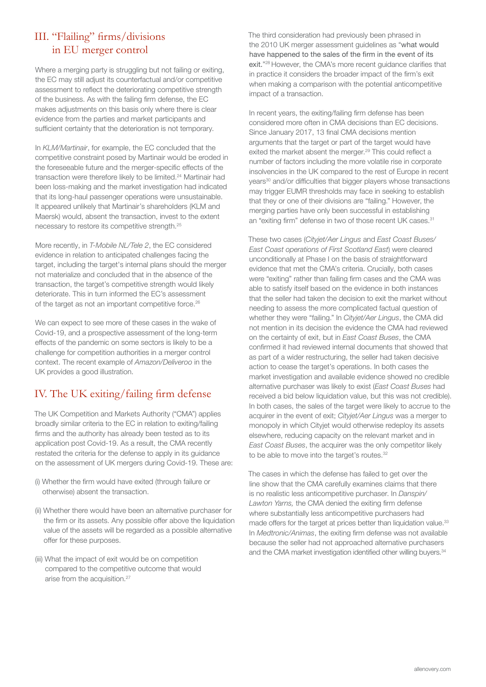## III. "Flailing" firms/divisions in EU merger control

Where a merging party is struggling but not failing or exiting, the EC may still adjust its counterfactual and/or competitive assessment to reflect the deteriorating competitive strength of the business. As with the failing firm defense, the EC makes adjustments on this basis only where there is clear evidence from the parties and market participants and sufficient certainty that the deterioration is not temporary.

In *KLM/Martinair*, for example, the EC concluded that the competitive constraint posed by Martinair would be eroded in the foreseeable future and the merger-specific effects of the transaction were therefore likely to be limited.<sup>24</sup> Martinair had been loss-making and the market investigation had indicated that its long-haul passenger operations were unsustainable. It appeared unlikely that Martinair's shareholders (KLM and Maersk) would, absent the transaction, invest to the extent necessary to restore its competitive strength.[2](#page-4-0)5

More recently, in *T-Mobile NL/Tele 2*, the EC considered evidence in relation to anticipated challenges facing the target, including the target's internal plans should the merger not materialize and concluded that in the absence of the transaction, the target's competitive strength would likely deteriorate. This in turn informed the EC's assessment of the target as not an important competitive force.<sup>26</sup>

We can expect to see more of these cases in the wake of Covid-19, and a prospective assessment of the long-term effects of the pandemic on some sectors is likely to be a challenge for competition authorities in a merger control context. The recent example of *Amazon/Deliveroo* in the UK provides a good illustration.

## IV. The UK exiting/failing firm defense

The UK Competition and Markets Authority ("CMA") applies broadly similar criteria to the EC in relation to exiting/failing firms and the authority has already been tested as to its application post Covid-19. As a result, the CMA recently restated the criteria for the defense to apply in its guidance on the assessment of UK mergers during Covid-19. These are:

- (i) Whether the firm would have exited (through failure or otherwise) absent the transaction.
- (ii) Whether there would have been an alternative purchaser for the firm or its assets. Any possible offer above the liquidation value of the assets will be regarded as a possible alternative offer for these purposes.
- (iii) What the impact of exit would be on competition compared to the competitive outcome that would arise from the acquisition.<sup>27</sup>

The third consideration had previously been phrased in the 2010 UK merger assessment guidelines as "what would have happened to the sales of the firm in the event of its exit.["2](#page-4-0)8 However, the CMA's more recent guidance clarifies that in practice it considers the broader impact of the firm's exit when making a comparison with the potential anticompetitive impact of a transaction.

In recent years, the exiting/failing firm defense has been considered more often in CMA decisions than EC decisions. Since January 2017, 13 final CMA decisions mention arguments that the target or part of the target would have exited the market absent the merger.<sup>[2](#page-4-0)9</sup> This could reflect a number of factors including the more volatile rise in corporate insolvencies in the UK compared to the rest of Europe in recent years<sup>30</sup> and/or difficulties that bigger players whose transactions may trigger EUMR thresholds may face in seeking to establish that they or one of their divisions are "failing." However, the merging parties have only been successful in establishing an "exiting firm" defense in two of those recent UK cases.<sup>[31](#page-4-0)</sup>

These two cases (*Cityjet/Aer Lingus* and *East Coast Buses/ East Coast operations of First Scotland East*) were cleared unconditionally at Phase I on the basis of straightforward evidence that met the CMA's criteria. Crucially, both cases were "exiting" rather than failing firm cases and the CMA was able to satisfy itself based on the evidence in both instances that the seller had taken the decision to exit the market without needing to assess the more complicated factual question of whether they were "failing." In *Cityjet/Aer Lingus*, the CMA did not mention in its decision the evidence the CMA had reviewed on the certainty of exit, but in *East Coast Buses*, the CMA confirmed it had reviewed internal documents that showed that as part of a wider restructuring, the seller had taken decisive action to cease the target's operations. In both cases the market investigation and available evidence showed no credible alternative purchaser was likely to exist (*East Coast Buses* had received a bid below liquidation value, but this was not credible). In both cases, the sales of the target were likely to accrue to the acquirer in the event of exit; *Cityjet/Aer Lingus* was a merger to monopoly in which Cityjet would otherwise redeploy its assets elsewhere, reducing capacity on the relevant market and in *East Coast Buses*, the acquirer was the only competitor likely to be able to move into the target's routes.<sup>32</sup>

The cases in which the defense has failed to get over the line show that the CMA carefully examines claims that there is no realistic less anticompetitive purchaser. In *Danspin/ Lawton Yarns,* the CMA denied the exiting firm defense where substantially less anticompetitive purchasers had made offers for the target at prices better than liquidation value.<sup>[33](#page-4-0)</sup> In *Medtronic/Animas*, the exiting firm defense was not available because the seller had not approached alternative purchasers and the CMA market investigation identified other willing buyers.<sup>[34](#page-4-0)</sup>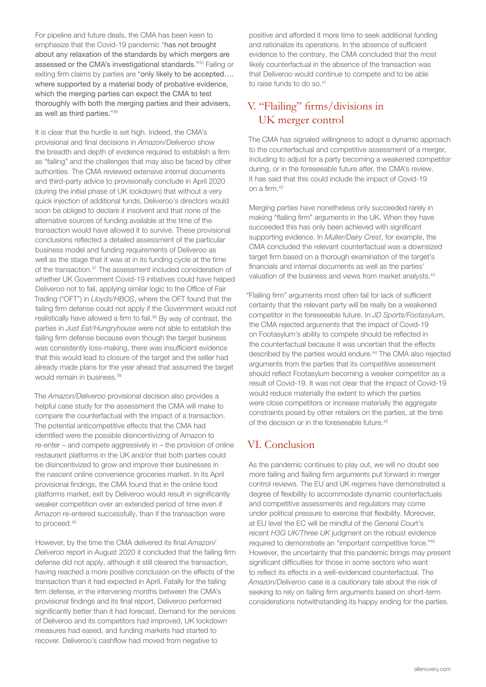For pipeline and future deals, the CMA has been keen to emphasize that the Covid-19 pandemic "has not brought about any relaxation of the standards by which mergers are assessed or the CMA's investigational standards."35 Failing or exiting firm claims by parties are "only likely to be accepted…. where supported by a material body of probative evidence, which the merging parties can expect the CMA to test thoroughly with both the merging parties and their advisers, as well as third parties."[36](#page-4-0)

It is clear that the hurdle is set high. Indeed, the CMA's provisional and final decisions in *Amazon/Deliveroo* show the breadth and depth of evidence required to establish a firm as "failing" and the challenges that may also be faced by other authorities. The CMA reviewed extensive internal documents and third-party advice to provisionally conclude in April 2020 (during the initial phase of UK lockdown) that without a very quick injection of additional funds, Deliveroo's directors would soon be obliged to declare it insolvent and that none of the alternative sources of funding available at the time of the transaction would have allowed it to survive. These provisional conclusions reflected a detailed assessment of the particular business model and funding requirements of Deliveroo as well as the stage that it was at in its funding cycle at the time of the transaction.[37](#page-4-0) The assessment included consideration of whether UK Government Covid-19 initiatives could have helped Deliveroo not to fail, applying similar logic to the Office of Fair Trading ("OFT") in *Lloyds/HBOS*, where the OFT found that the failing firm defense could not apply if the Government would not realistically have allowed a firm to fail.<sup>[38](#page-4-0)</sup> By way of contrast, the parties in *Just Eat/Hungryhouse* were not able to establish the failing firm defense because even though the target business was consistently loss-making, there was insufficient evidence that this would lead to closure of the target and the seller had already made plans for the year ahead that assumed the target would remain in business[.39](#page-4-0)

The *Amazon/Deliveroo* provisional decision also provides a helpful case study for the assessment the CMA will make to compare the counterfactual with the impact of a transaction. The potential anticompetitive effects that the CMA had identified were the possible disincentivizing of Amazon to re-enter – and compete aggressively in – the provision of online restaurant platforms in the UK and/or that both parties could be disincentivized to grow and improve their businesses in the nascent online convenience groceries market. In its April provisional findings, the CMA found that in the online food platforms market, exit by Deliveroo would result in significantly weaker competition over an extended period of time even if Amazon re-entered successfully, than if the transaction were to proceed.<sup>[40](#page-4-0)</sup>

However, by the time the CMA delivered its final *Amazon/ Deliveroo* report in August 2020 it concluded that the failing firm defense did not apply, although it still cleared the transaction, having reached a more positive conclusion on the effects of the transaction than it had expected in April. Fatally for the failing firm defense, in the intervening months between the CMA's provisional findings and its final report, Deliveroo performed significantly better than it had forecast. Demand for the services of Deliveroo and its competitors had improved, UK lockdown measures had eased, and funding markets had started to recover. Deliveroo's cashflow had moved from negative to

positive and afforded it more time to seek additional funding and rationalize its operations. In the absence of sufficient evidence to the contrary, the CMA concluded that the most likely counterfactual in the absence of the transaction was that Deliveroo would continue to compete and to be able to raise funds to do so.<sup>41</sup>

## V. "Flailing" firms/divisions in UK merger control

The CMA has signaled willingness to adopt a dynamic approach to the counterfactual and competitive assessment of a merger, including to adjust for a party becoming a weakened competitor during, or in the foreseeable future after, the CMA's review. It has said that this could include the impact of Covid-19 on a firm.[42](#page-4-0)

Merging parties have nonetheless only succeeded rarely in making "flailing firm" arguments in the UK. When they have succeeded this has only been achieved with significant supporting evidence. In *Muller/Dairy Crest*, for example, the CMA concluded the relevant counterfactual was a downsized target firm based on a thorough examination of the target's financials and internal documents as well as the parties' valuation of the business and views from market analysts.<sup>43</sup>

"Flailing firm" arguments most often fail for lack of sufficient certainty that the relevant party will be really be a weakened competitor in the foreseeable future. In *JD Sports/Footasylum*, the CMA rejected arguments that the impact of Covid-19 on Footasylum's ability to compete should be reflected in the counterfactual because it was uncertain that the effects described by the parties would endure.<sup>44</sup> The CMA also rejected arguments from the parties that its competitive assessment should reflect Footasylum becoming a weaker competitor as a result of Covid-19. It was not clear that the impact of Covid-19 would reduce materially the extent to which the parties were close competitors or increase materially the aggregate constraints posed by other retailers on the parties, at the time of the decision or in the foreseeable future.[45](#page-4-0)

#### VI. Conclusion

As the pandemic continues to play out, we will no doubt see more failing and flailing firm arguments put forward in merger control reviews. The EU and UK regimes have demonstrated a degree of flexibility to accommodate dynamic counterfactuals and competitive assessments and regulators may come under political pressure to exercise that flexibility. Moreover, at EU level the EC will be mindful of the General Court's recent *H3G UK/Three UK* judgment on the robust evidence required to demonstrate an "important competitive force.["4](#page-4-0)6 However, the uncertainty that this pandemic brings may present significant difficulties for those in some sectors who want to reflect its effects in a well-evidenced counterfactual. The *Amazon/Deliveroo* case is a cautionary tale about the risk of seeking to rely on failing firm arguments based on short-term considerations notwithstanding its happy ending for the parties.